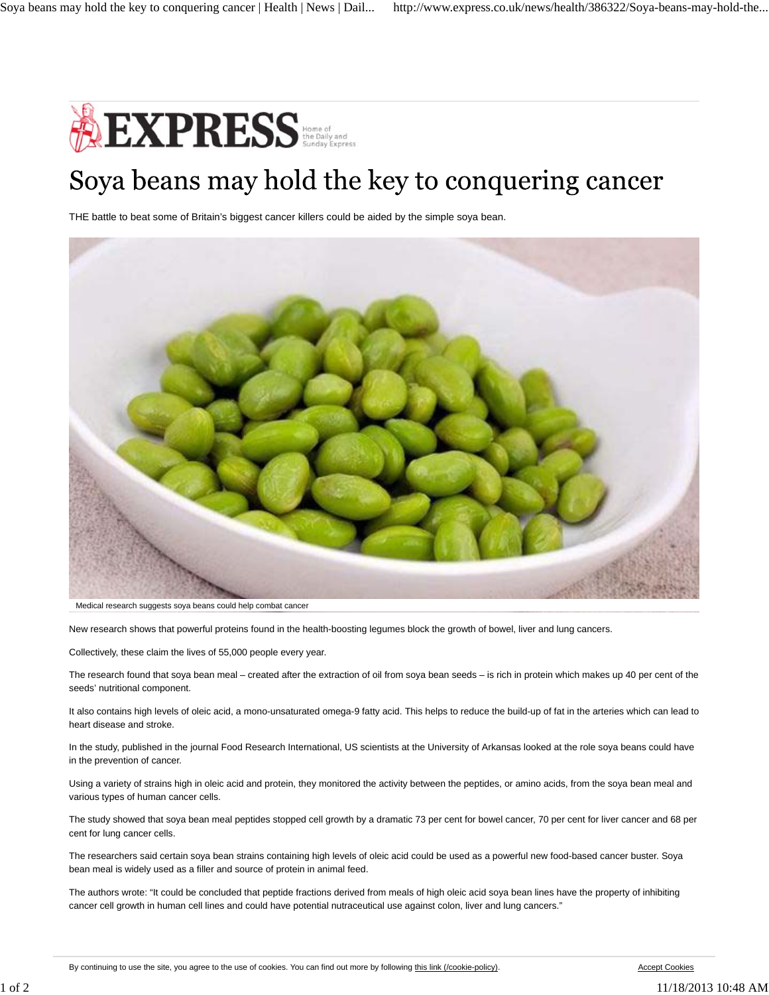

## Soya beans may hold the key to conquering cancer

THE battle to beat some of Britain's biggest cancer killers could be aided by the simple soya bean.



Medical research suggests soya beans could help combat cancer

New research shows that powerful proteins found in the health-boosting legumes block the growth of bowel, liver and lung cancers.

Collectively, these claim the lives of 55,000 people every year.

The research found that soya bean meal – created after the extraction of oil from soya bean seeds – is rich in protein which makes up 40 per cent of the seeds' nutritional component.

It also contains high levels of oleic acid, a mono-unsaturated omega-9 fatty acid. This helps to reduce the build-up of fat in the arteries which can lead to heart disease and stroke.

In the study, published in the journal Food Research International, US scientists at the University of Arkansas looked at the role soya beans could have in the prevention of cancer.

Using a variety of strains high in oleic acid and protein, they monitored the activity between the peptides, or amino acids, from the soya bean meal and various types of human cancer cells.

The study showed that soya bean meal peptides stopped cell growth by a dramatic 73 per cent for bowel cancer, 70 per cent for liver cancer and 68 per cent for lung cancer cells.

The researchers said certain soya bean strains containing high levels of oleic acid could be used as a powerful new food-based cancer buster. Soya bean meal is widely used as a filler and source of protein in animal feed.

The authors wrote: "It could be concluded that peptide fractions derived from meals of high oleic acid soya bean lines have the property of inhibiting cancer cell growth in human cell lines and could have potential nutraceutical use against colon, liver and lung cancers."